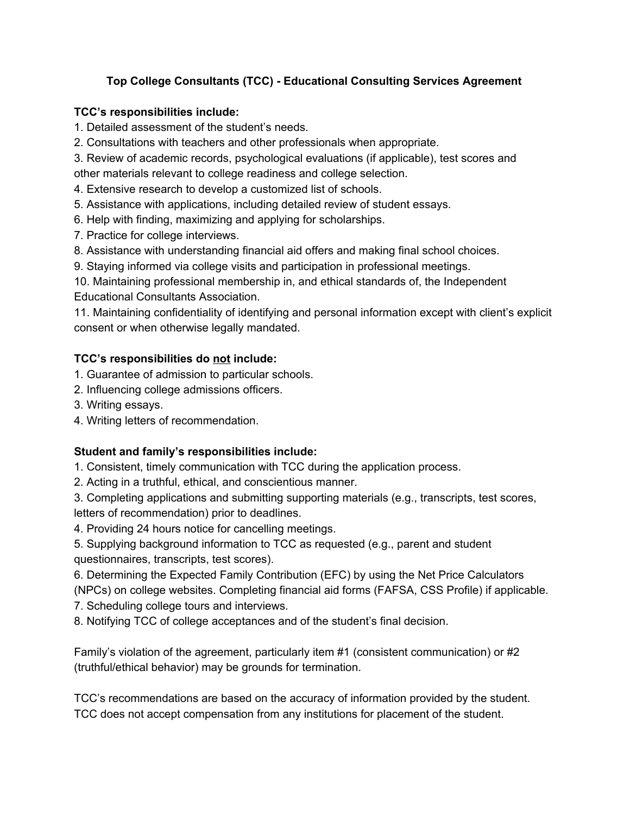# Top College Consultants (TCC) - Educational Consulting Services Agreement

#### **TCC's responsibilities include:**

1. Detailed assessment of the student's needs.

2. Consultations with teachers and other professionals when appropriate.

3. Review of academic records, psychological evaluations (if applicable), test scores and other materials relevant to college readiness and college selection.

- 4. Extensive research to develop a customized list of schools.
- 5. Assistance with applications, including detailed review of student essays.
- 6. Help with finding, maximizing and applying for scholarships.
- 7. Practice for college interviews.
- 8. Assistance with understanding financial aid offers and making final school choices.
- 9. Staying informed via college visits and participation in professional meetings.

10. Maintaining professional membership in, and ethical standards of, the Independent **Educational Consultants Association.** 

11. Maintaining confidentiality of identifying and personal information except with client's explicit consent or when otherwise legally mandated.

## TCC's responsibilities do not include:

- 1. Guarantee of admission to particular schools.
- 2. Influencing college admissions officers.
- 3. Writing essays.
- 4. Writing letters of recommendation.

## Student and family's responsibilities include:

1. Consistent, timely communication with TCC during the application process.

2. Acting in a truthful, ethical, and conscientious manner.

3. Completing applications and submitting supporting materials (e.g., transcripts, test scores, letters of recommendation) prior to deadlines.

4. Providing 24 hours notice for cancelling meetings.

5. Supplying background information to TCC as requested (e.g., parent and student questionnaires, transcripts, test scores).

6. Determining the Expected Family Contribution (EFC) by using the Net Price Calculators

(NPCs) on college websites. Completing financial aid forms (FAFSA, CSS Profile) if applicable.

- 7. Scheduling college tours and interviews.
- 8. Notifying TCC of college acceptances and of the student's final decision.

Family's violation of the agreement, particularly item #1 (consistent communication) or #2 (truthful/ethical behavior) may be grounds for termination.

TCC's recommendations are based on the accuracy of information provided by the student. TCC does not accept compensation from any institutions for placement of the student.